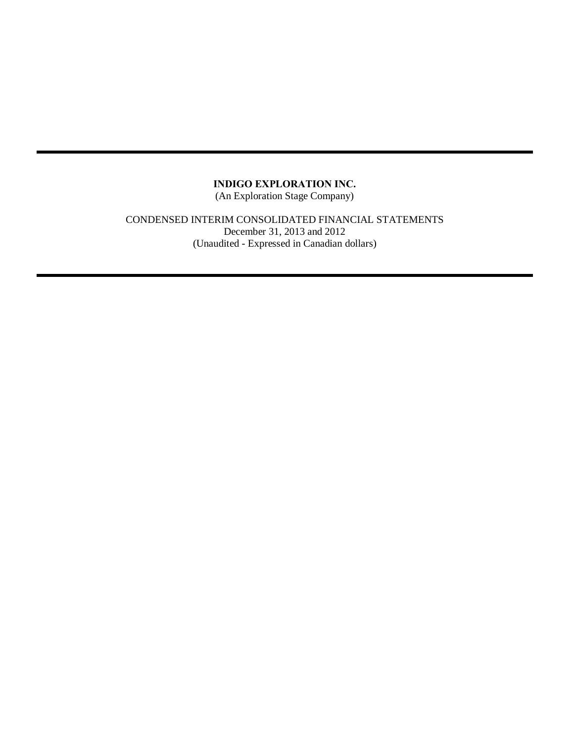(An Exploration Stage Company)

CONDENSED INTERIM CONSOLIDATED FINANCIAL STATEMENTS December 31, 2013 and 2012 (Unaudited - Expressed in Canadian dollars)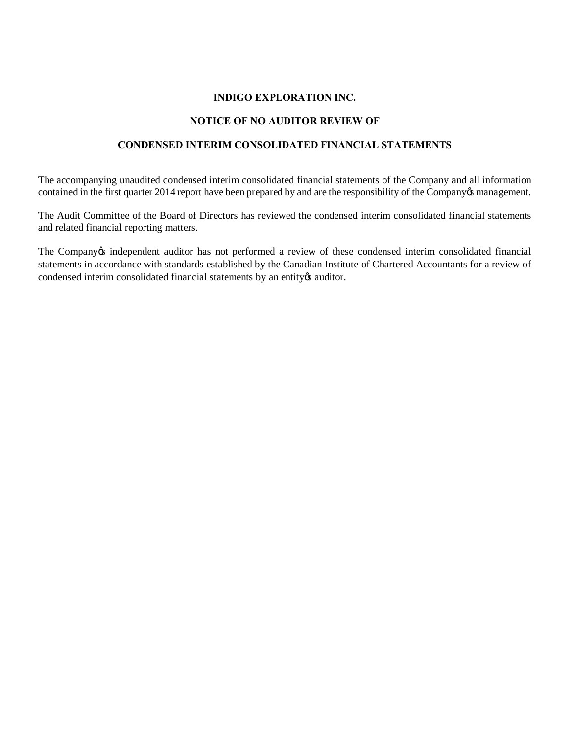## **NOTICE OF NO AUDITOR REVIEW OF**

## **CONDENSED INTERIM CONSOLIDATED FINANCIAL STATEMENTS**

The accompanying unaudited condensed interim consolidated financial statements of the Company and all information contained in the first quarter 2014 report have been prepared by and are the responsibility of the Company osmanagement.

The Audit Committee of the Board of Directors has reviewed the condensed interim consolidated financial statements and related financial reporting matters.

The Company *independent auditor has not performed a review of these condensed interim consolidated financial* statements in accordance with standards established by the Canadian Institute of Chartered Accountants for a review of condensed interim consolidated financial statements by an entity  $\alpha$  auditor.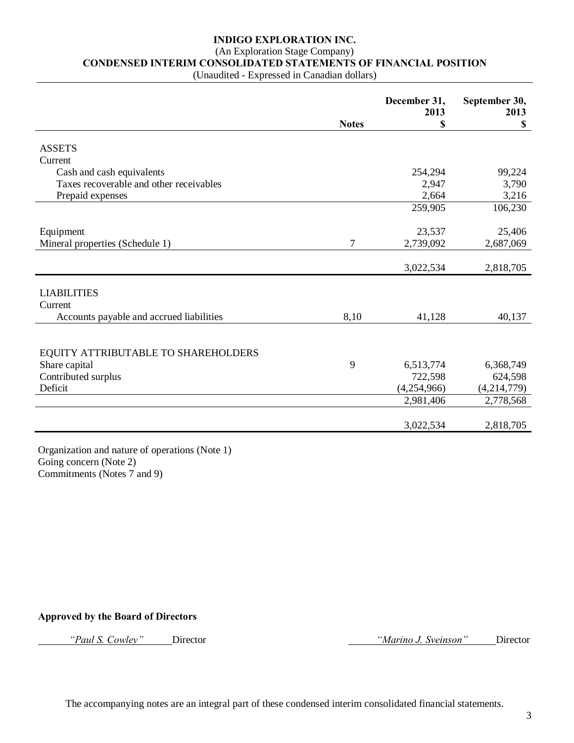# (An Exploration Stage Company)

**CONDENSED INTERIM CONSOLIDATED STATEMENTS OF FINANCIAL POSITION**

(Unaudited - Expressed in Canadian dollars)

|                                                     |                | December 31,<br>2013 | September 30,<br>2013     |
|-----------------------------------------------------|----------------|----------------------|---------------------------|
|                                                     | <b>Notes</b>   | \$                   | $\boldsymbol{\mathsf{S}}$ |
| <b>ASSETS</b>                                       |                |                      |                           |
| Current                                             |                |                      |                           |
| Cash and cash equivalents                           |                | 254,294              | 99,224                    |
| Taxes recoverable and other receivables             |                | 2,947                | 3,790                     |
| Prepaid expenses                                    |                | 2,664                | 3,216                     |
|                                                     |                | 259,905              | 106,230                   |
| Equipment                                           |                | 23,537               | 25,406                    |
| Mineral properties (Schedule 1)                     | $\overline{7}$ | 2,739,092            | 2,687,069                 |
|                                                     |                |                      |                           |
|                                                     |                | 3,022,534            | 2,818,705                 |
|                                                     |                |                      |                           |
| <b>LIABILITIES</b>                                  |                |                      |                           |
| Current<br>Accounts payable and accrued liabilities | 8,10           | 41,128               | 40,137                    |
|                                                     |                |                      |                           |
|                                                     |                |                      |                           |
| EQUITY ATTRIBUTABLE TO SHAREHOLDERS                 |                |                      |                           |
| Share capital                                       | 9              | 6,513,774            | 6,368,749                 |
| Contributed surplus                                 |                | 722,598              | 624,598                   |
| Deficit                                             |                | (4,254,966)          | (4,214,779)               |
|                                                     |                | 2,981,406            | 2,778,568                 |
|                                                     |                |                      |                           |
|                                                     |                | 3,022,534            | 2,818,705                 |

Organization and nature of operations (Note 1) Going concern (Note 2) Commitments (Notes 7 and 9)

#### **Approved by the Board of Directors**

*"Paul S. Cowley"* Director *"Marino J. Sveinson"* Director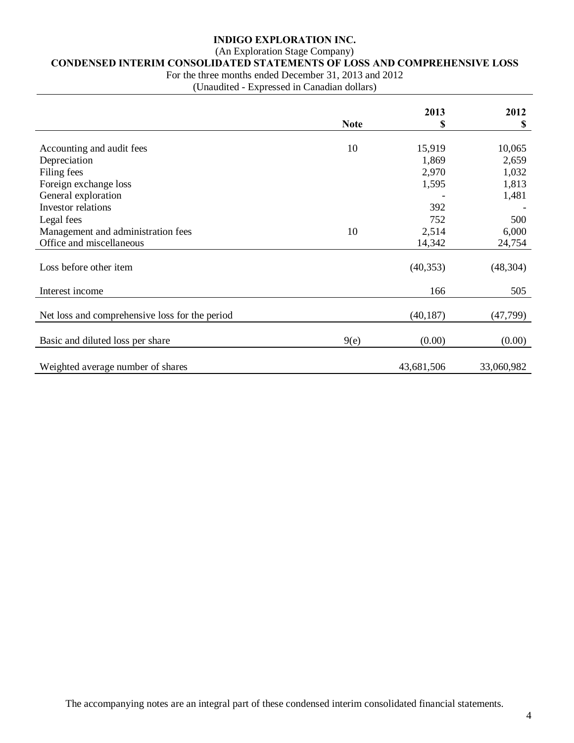## (An Exploration Stage Company)

# **CONDENSED INTERIM CONSOLIDATED STATEMENTS OF LOSS AND COMPREHENSIVE LOSS**

For the three months ended December 31, 2013 and 2012

(Unaudited - Expressed in Canadian dollars)

|                                                |             | 2013       | 2012       |
|------------------------------------------------|-------------|------------|------------|
|                                                | <b>Note</b> | \$         | \$         |
|                                                |             |            |            |
| Accounting and audit fees                      | 10          | 15,919     | 10,065     |
| Depreciation                                   |             | 1,869      | 2,659      |
| Filing fees                                    |             | 2,970      | 1,032      |
| Foreign exchange loss                          |             | 1,595      | 1,813      |
| General exploration                            |             |            | 1,481      |
| Investor relations                             |             | 392        |            |
| Legal fees                                     |             | 752        | 500        |
| Management and administration fees             | 10          | 2,514      | 6,000      |
| Office and miscellaneous                       |             | 14,342     | 24,754     |
|                                                |             |            |            |
| Loss before other item                         |             | (40, 353)  | (48, 304)  |
|                                                |             |            |            |
| Interest income                                |             | 166        | 505        |
|                                                |             |            |            |
| Net loss and comprehensive loss for the period |             | (40, 187)  | (47, 799)  |
|                                                |             |            |            |
| Basic and diluted loss per share               | 9(e)        | (0.00)     | (0.00)     |
|                                                |             |            |            |
| Weighted average number of shares              |             | 43,681,506 | 33,060,982 |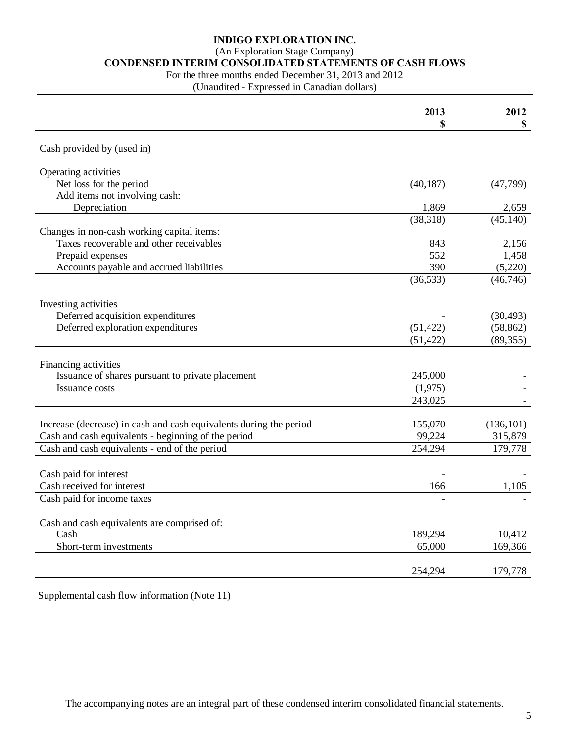## (An Exploration Stage Company)

# **CONDENSED INTERIM CONSOLIDATED STATEMENTS OF CASH FLOWS**

For the three months ended December 31, 2013 and 2012

(Unaudited - Expressed in Canadian dollars)

|                                                                    | 2013              | 2012              |
|--------------------------------------------------------------------|-------------------|-------------------|
|                                                                    | S                 | \$                |
| Cash provided by (used in)                                         |                   |                   |
| Operating activities                                               |                   |                   |
| Net loss for the period                                            | (40, 187)         | (47, 799)         |
| Add items not involving cash:                                      |                   |                   |
| Depreciation                                                       | 1,869             | 2,659             |
|                                                                    | (38,318)          | (45, 140)         |
| Changes in non-cash working capital items:                         |                   |                   |
| Taxes recoverable and other receivables                            | 843               | 2,156             |
| Prepaid expenses                                                   | 552               | 1,458             |
| Accounts payable and accrued liabilities                           | 390               | (5,220)           |
|                                                                    | (36, 533)         | (46, 746)         |
|                                                                    |                   |                   |
| Investing activities                                               |                   |                   |
| Deferred acquisition expenditures                                  |                   | (30, 493)         |
| Deferred exploration expenditures                                  | (51, 422)         | (58, 862)         |
|                                                                    | (51, 422)         | (89, 355)         |
|                                                                    |                   |                   |
| Financing activities                                               |                   |                   |
| Issuance of shares pursuant to private placement                   | 245,000           |                   |
| <b>Issuance costs</b>                                              | (1,975)           |                   |
|                                                                    | 243,025           |                   |
|                                                                    |                   |                   |
| Increase (decrease) in cash and cash equivalents during the period | 155,070           | (136, 101)        |
| Cash and cash equivalents - beginning of the period                | 99,224            | 315,879           |
| Cash and cash equivalents - end of the period                      | 254,294           | 179,778           |
|                                                                    |                   |                   |
| Cash paid for interest<br>Cash received for interest               |                   |                   |
|                                                                    | 166               | 1,105             |
| Cash paid for income taxes                                         |                   |                   |
|                                                                    |                   |                   |
| Cash and cash equivalents are comprised of:<br>Cash                |                   |                   |
| Short-term investments                                             | 189,294<br>65,000 | 10,412<br>169,366 |
|                                                                    |                   |                   |
|                                                                    | 254,294           | 179,778           |
|                                                                    |                   |                   |

Supplemental cash flow information (Note 11)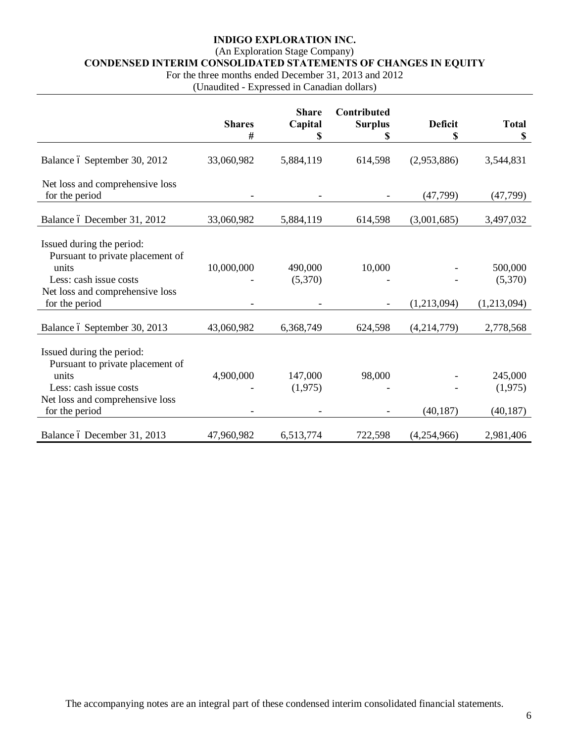## (An Exploration Stage Company)

**CONDENSED INTERIM CONSOLIDATED STATEMENTS OF CHANGES IN EQUITY**

For the three months ended December 31, 2013 and 2012

(Unaudited - Expressed in Canadian dollars)

|                                                                                                                                     | <b>Shares</b> | <b>Share</b><br>Capital | Contributed<br><b>Surplus</b> | <b>Deficit</b> | <b>Total</b>       |
|-------------------------------------------------------------------------------------------------------------------------------------|---------------|-------------------------|-------------------------------|----------------|--------------------|
|                                                                                                                                     | #             | \$                      | \$                            | \$             | \$                 |
| Balance ó September 30, 2012                                                                                                        | 33,060,982    | 5,884,119               | 614,598                       | (2,953,886)    | 3,544,831          |
| Net loss and comprehensive loss<br>for the period                                                                                   |               |                         |                               | (47, 799)      | (47, 799)          |
| Balance ó December 31, 2012                                                                                                         | 33,060,982    | 5,884,119               | 614,598                       | (3,001,685)    | 3,497,032          |
| Issued during the period:<br>Pursuant to private placement of<br>units<br>Less: cash issue costs                                    | 10,000,000    | 490,000<br>(5,370)      | 10,000                        |                | 500,000<br>(5,370) |
| Net loss and comprehensive loss<br>for the period                                                                                   |               |                         |                               | (1,213,094)    | (1,213,094)        |
| Balance ó September 30, 2013                                                                                                        | 43,060,982    | 6,368,749               | 624,598                       | (4,214,779)    | 2,778,568          |
| Issued during the period:<br>Pursuant to private placement of<br>units<br>Less: cash issue costs<br>Net loss and comprehensive loss | 4,900,000     | 147,000<br>(1,975)      | 98,000                        |                | 245,000<br>(1,975) |
| for the period                                                                                                                      |               |                         |                               | (40, 187)      | (40, 187)          |
| Balance ó December 31, 2013                                                                                                         | 47,960,982    | 6,513,774               | 722,598                       | (4,254,966)    | 2,981,406          |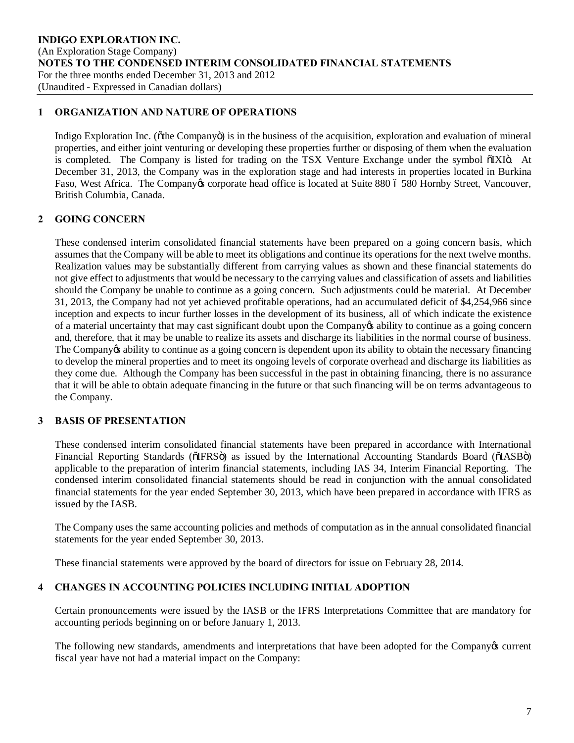#### **1 ORGANIZATION AND NATURE OF OPERATIONS**

Indigo Exploration Inc. ( $\delta$ the Company $\delta$ ) is in the business of the acquisition, exploration and evaluation of mineral properties, and either joint venturing or developing these properties further or disposing of them when the evaluation is completed. The Company is listed for trading on the TSX Venture Exchange under the symbol õIXIö. At December 31, 2013, the Company was in the exploration stage and had interests in properties located in Burkina Faso, West Africa. The Company is corporate head office is located at Suite 880 6 580 Hornby Street, Vancouver, British Columbia, Canada.

## **2 GOING CONCERN**

These condensed interim consolidated financial statements have been prepared on a going concern basis, which assumes that the Company will be able to meet its obligations and continue its operations for the next twelve months. Realization values may be substantially different from carrying values as shown and these financial statements do not give effect to adjustments that would be necessary to the carrying values and classification of assets and liabilities should the Company be unable to continue as a going concern. Such adjustments could be material. At December 31, 2013, the Company had not yet achieved profitable operations, had an accumulated deficit of \$4,254,966 since inception and expects to incur further losses in the development of its business, all of which indicate the existence of a material uncertainty that may cast significant doubt upon the Company's ability to continue as a going concern and, therefore, that it may be unable to realize its assets and discharge its liabilities in the normal course of business. The Company ts ability to continue as a going concern is dependent upon its ability to obtain the necessary financing to develop the mineral properties and to meet its ongoing levels of corporate overhead and discharge its liabilities as they come due. Although the Company has been successful in the past in obtaining financing, there is no assurance that it will be able to obtain adequate financing in the future or that such financing will be on terms advantageous to the Company.

## **3 BASIS OF PRESENTATION**

These condensed interim consolidated financial statements have been prepared in accordance with International Financial Reporting Standards ( $\delta$ IFRS $\ddot{o}$ ) as issued by the International Accounting Standards Board ( $\delta$ IASB $\ddot{o}$ ) applicable to the preparation of interim financial statements, including IAS 34, Interim Financial Reporting. The condensed interim consolidated financial statements should be read in conjunction with the annual consolidated financial statements for the year ended September 30, 2013, which have been prepared in accordance with IFRS as issued by the IASB.

The Company uses the same accounting policies and methods of computation as in the annual consolidated financial statements for the year ended September 30, 2013.

These financial statements were approved by the board of directors for issue on February 28, 2014.

## **4 CHANGES IN ACCOUNTING POLICIES INCLUDING INITIAL ADOPTION**

Certain pronouncements were issued by the IASB or the IFRS Interpretations Committee that are mandatory for accounting periods beginning on or before January 1, 2013.

The following new standards, amendments and interpretations that have been adopted for the Company is current fiscal year have not had a material impact on the Company: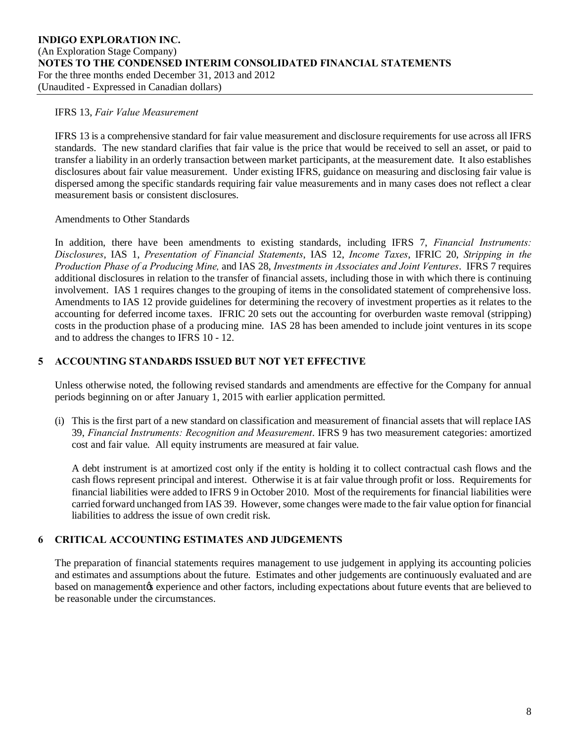#### IFRS 13, *Fair Value Measurement*

IFRS 13 is a comprehensive standard for fair value measurement and disclosure requirements for use across all IFRS standards. The new standard clarifies that fair value is the price that would be received to sell an asset, or paid to transfer a liability in an orderly transaction between market participants, at the measurement date. It also establishes disclosures about fair value measurement. Under existing IFRS, guidance on measuring and disclosing fair value is dispersed among the specific standards requiring fair value measurements and in many cases does not reflect a clear measurement basis or consistent disclosures.

#### Amendments to Other Standards

In addition, there have been amendments to existing standards, including IFRS 7, *Financial Instruments: Disclosures*, IAS 1, *Presentation of Financial Statements*, IAS 12, *Income Taxes*, IFRIC 20, *Stripping in the Production Phase of a Producing Mine,* and IAS 28, *Investments in Associates and Joint Ventures*. IFRS 7 requires additional disclosures in relation to the transfer of financial assets, including those in with which there is continuing involvement. IAS 1 requires changes to the grouping of items in the consolidated statement of comprehensive loss. Amendments to IAS 12 provide guidelines for determining the recovery of investment properties as it relates to the accounting for deferred income taxes. IFRIC 20 sets out the accounting for overburden waste removal (stripping) costs in the production phase of a producing mine. IAS 28 has been amended to include joint ventures in its scope and to address the changes to IFRS 10 - 12.

#### **5 ACCOUNTING STANDARDS ISSUED BUT NOT YET EFFECTIVE**

Unless otherwise noted, the following revised standards and amendments are effective for the Company for annual periods beginning on or after January 1, 2015 with earlier application permitted.

(i) This is the first part of a new standard on classification and measurement of financial assets that will replace IAS 39, *Financial Instruments: Recognition and Measurement*. IFRS 9 has two measurement categories: amortized cost and fair value. All equity instruments are measured at fair value.

A debt instrument is at amortized cost only if the entity is holding it to collect contractual cash flows and the cash flows represent principal and interest. Otherwise it is at fair value through profit or loss. Requirements for financial liabilities were added to IFRS 9 in October 2010. Most of the requirements for financial liabilities were carried forward unchanged from IAS 39. However, some changes were made to the fair value option for financial liabilities to address the issue of own credit risk.

## **6 CRITICAL ACCOUNTING ESTIMATES AND JUDGEMENTS**

The preparation of financial statements requires management to use judgement in applying its accounting policies and estimates and assumptions about the future. Estimates and other judgements are continuously evaluated and are based on management to experience and other factors, including expectations about future events that are believed to be reasonable under the circumstances.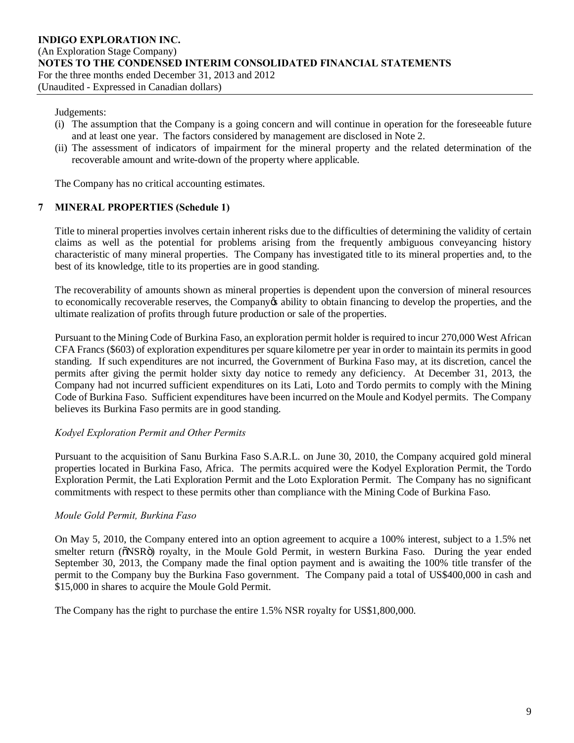#### Judgements:

- (i) The assumption that the Company is a going concern and will continue in operation for the foreseeable future and at least one year. The factors considered by management are disclosed in Note 2.
- (ii) The assessment of indicators of impairment for the mineral property and the related determination of the recoverable amount and write-down of the property where applicable.

The Company has no critical accounting estimates.

#### **7 MINERAL PROPERTIES (Schedule 1)**

Title to mineral properties involves certain inherent risks due to the difficulties of determining the validity of certain claims as well as the potential for problems arising from the frequently ambiguous conveyancing history characteristic of many mineral properties. The Company has investigated title to its mineral properties and, to the best of its knowledge, title to its properties are in good standing.

The recoverability of amounts shown as mineral properties is dependent upon the conversion of mineral resources to economically recoverable reserves, the Company's ability to obtain financing to develop the properties, and the ultimate realization of profits through future production or sale of the properties.

Pursuant to the Mining Code of Burkina Faso, an exploration permit holder is required to incur 270,000 West African CFA Francs (\$603) of exploration expenditures per square kilometre per year in order to maintain its permits in good standing. If such expenditures are not incurred, the Government of Burkina Faso may, at its discretion, cancel the permits after giving the permit holder sixty day notice to remedy any deficiency. At December 31, 2013, the Company had not incurred sufficient expenditures on its Lati, Loto and Tordo permits to comply with the Mining Code of Burkina Faso. Sufficient expenditures have been incurred on the Moule and Kodyel permits. The Company believes its Burkina Faso permits are in good standing.

#### *Kodyel Exploration Permit and Other Permits*

Pursuant to the acquisition of Sanu Burkina Faso S.A.R.L. on June 30, 2010, the Company acquired gold mineral properties located in Burkina Faso, Africa. The permits acquired were the Kodyel Exploration Permit, the Tordo Exploration Permit, the Lati Exploration Permit and the Loto Exploration Permit. The Company has no significant commitments with respect to these permits other than compliance with the Mining Code of Burkina Faso.

#### *Moule Gold Permit, Burkina Faso*

On May 5, 2010, the Company entered into an option agreement to acquire a 100% interest, subject to a 1.5% net smelter return ( $\delta$ NSR $\ddot{o}$ ) royalty, in the Moule Gold Permit, in western Burkina Faso. During the year ended September 30, 2013, the Company made the final option payment and is awaiting the 100% title transfer of the permit to the Company buy the Burkina Faso government. The Company paid a total of US\$400,000 in cash and \$15,000 in shares to acquire the Moule Gold Permit.

The Company has the right to purchase the entire 1.5% NSR royalty for US\$1,800,000.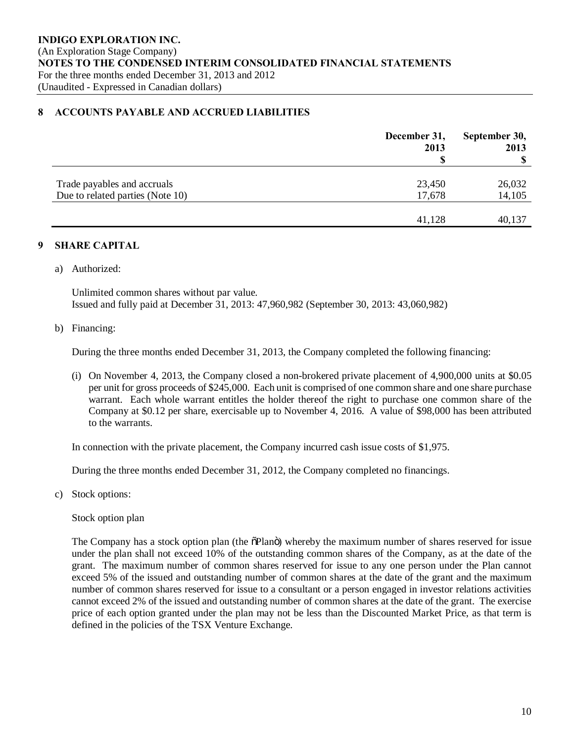#### **8 ACCOUNTS PAYABLE AND ACCRUED LIABILITIES**

|                                  | December 31,<br>2013 | September 30,<br>2013<br>-S |
|----------------------------------|----------------------|-----------------------------|
|                                  |                      |                             |
| Trade payables and accruals      | 23,450               | 26,032                      |
| Due to related parties (Note 10) | 17,678               | 14,105                      |
|                                  |                      |                             |
|                                  | 41,128               | 40,137                      |

#### **9 SHARE CAPITAL**

a) Authorized:

Unlimited common shares without par value. Issued and fully paid at December 31, 2013: 47,960,982 (September 30, 2013: 43,060,982)

#### b) Financing:

During the three months ended December 31, 2013, the Company completed the following financing:

(i) On November 4, 2013, the Company closed a non-brokered private placement of 4,900,000 units at \$0.05 per unit for gross proceeds of \$245,000. Each unit is comprised of one common share and one share purchase warrant. Each whole warrant entitles the holder thereof the right to purchase one common share of the Company at \$0.12 per share, exercisable up to November 4, 2016. A value of \$98,000 has been attributed to the warrants.

In connection with the private placement, the Company incurred cash issue costs of \$1,975.

During the three months ended December 31, 2012, the Company completed no financings.

c) Stock options:

Stock option plan

The Company has a stock option plan (the  $\delta$ Plan $\ddot{o}$ ) whereby the maximum number of shares reserved for issue under the plan shall not exceed 10% of the outstanding common shares of the Company, as at the date of the grant. The maximum number of common shares reserved for issue to any one person under the Plan cannot exceed 5% of the issued and outstanding number of common shares at the date of the grant and the maximum number of common shares reserved for issue to a consultant or a person engaged in investor relations activities cannot exceed 2% of the issued and outstanding number of common shares at the date of the grant. The exercise price of each option granted under the plan may not be less than the Discounted Market Price, as that term is defined in the policies of the TSX Venture Exchange.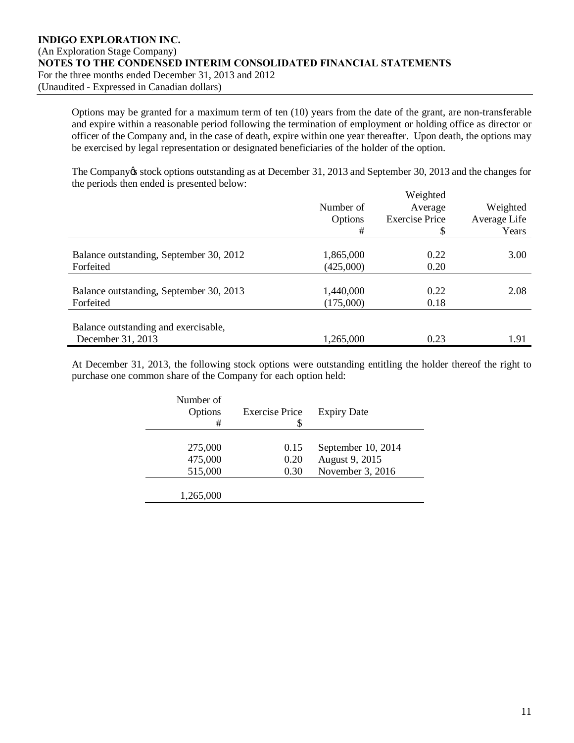Options may be granted for a maximum term of ten (10) years from the date of the grant, are non-transferable and expire within a reasonable period following the termination of employment or holding office as director or officer of the Company and, in the case of death, expire within one year thereafter. Upon death, the options may be exercised by legal representation or designated beneficiaries of the holder of the option.

The Company os stock options outstanding as at December 31, 2013 and September 30, 2013 and the changes for the periods then ended is presented below:  $W<sub>1</sub> + 1$ 

|                                         |           | Weighted              |              |
|-----------------------------------------|-----------|-----------------------|--------------|
|                                         | Number of | Average               | Weighted     |
|                                         | Options   | <b>Exercise Price</b> | Average Life |
|                                         | #         | \$                    | Years        |
|                                         |           |                       |              |
| Balance outstanding, September 30, 2012 | 1,865,000 | 0.22                  | 3.00         |
| Forfeited                               | (425,000) | 0.20                  |              |
|                                         |           |                       |              |
| Balance outstanding, September 30, 2013 | 1,440,000 | 0.22                  | 2.08         |
| Forfeited                               | (175,000) | 0.18                  |              |
|                                         |           |                       |              |
| Balance outstanding and exercisable,    |           |                       |              |
| December 31, 2013                       | 1,265,000 | 0.23                  | 1.91         |

At December 31, 2013, the following stock options were outstanding entitling the holder thereof the right to purchase one common share of the Company for each option held:

| Number of<br>Options<br># | <b>Exercise Price</b><br>S | <b>Expiry Date</b> |
|---------------------------|----------------------------|--------------------|
|                           |                            |                    |
| 275,000                   | 0.15                       | September 10, 2014 |
| 475,000                   | 0.20                       | August 9, 2015     |
| 515,000                   | 0.30                       | November 3, 2016   |
|                           |                            |                    |
| 1,265,000                 |                            |                    |
|                           |                            |                    |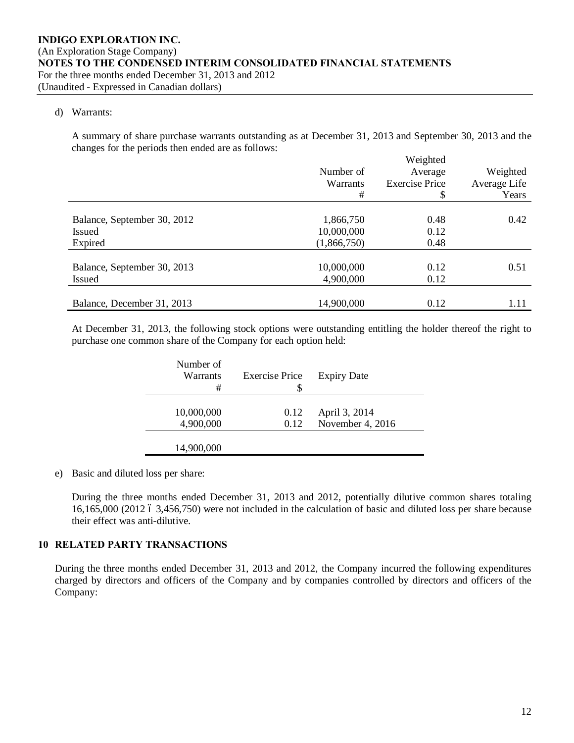#### d) Warrants:

A summary of share purchase warrants outstanding as at December 31, 2013 and September 30, 2013 and the changes for the periods then ended are as follows:  $W_{\alpha}$ igh

|                             | Number of   | Weighted<br>Average   | Weighted     |
|-----------------------------|-------------|-----------------------|--------------|
|                             | Warrants    | <b>Exercise Price</b> | Average Life |
|                             | #           | \$                    | Years        |
|                             |             |                       |              |
| Balance, September 30, 2012 | 1,866,750   | 0.48                  | 0.42         |
| <b>Issued</b>               | 10,000,000  | 0.12                  |              |
| Expired                     | (1,866,750) | 0.48                  |              |
|                             |             |                       |              |
| Balance, September 30, 2013 | 10,000,000  | 0.12                  | 0.51         |
| <b>Issued</b>               | 4,900,000   | 0.12                  |              |
|                             |             |                       |              |
| Balance, December 31, 2013  | 14,900,000  | 0.12                  | 1.11         |

At December 31, 2013, the following stock options were outstanding entitling the holder thereof the right to purchase one common share of the Company for each option held:

| Number of<br>Warrants<br># | <b>Exercise Price</b> | <b>Expiry Date</b> |
|----------------------------|-----------------------|--------------------|
| 10,000,000                 | 0.12                  | April 3, 2014      |
| 4,900,000                  | 0.12                  | November 4, 2016   |
| 14,900,000                 |                       |                    |

#### e) Basic and diluted loss per share:

During the three months ended December 31, 2013 and 2012, potentially dilutive common shares totaling 16,165,000 (2012 6 3,456,750) were not included in the calculation of basic and diluted loss per share because their effect was anti-dilutive.

#### **10 RELATED PARTY TRANSACTIONS**

During the three months ended December 31, 2013 and 2012, the Company incurred the following expenditures charged by directors and officers of the Company and by companies controlled by directors and officers of the Company: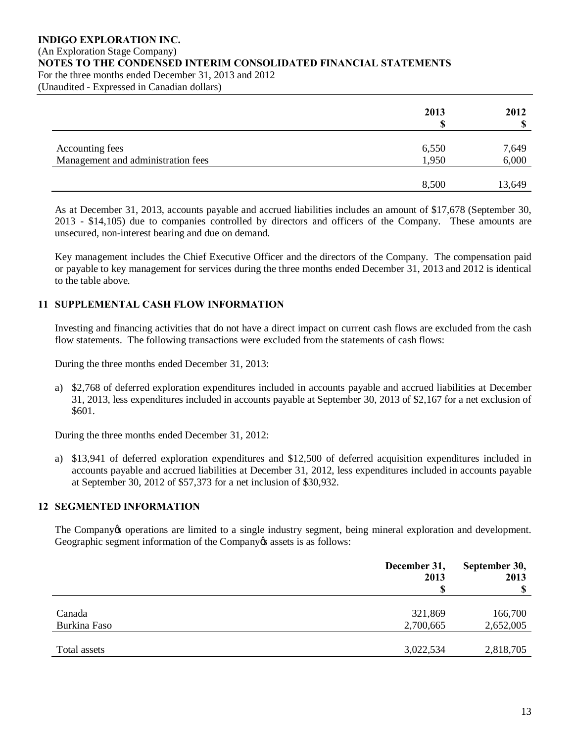#### **INDIGO EXPLORATION INC.** (An Exploration Stage Company) **NOTES TO THE CONDENSED INTERIM CONSOLIDATED FINANCIAL STATEMENTS** For the three months ended December 31, 2013 and 2012

(Unaudited - Expressed in Canadian dollars)

|                                    | 2013<br>۱D | 2012   |
|------------------------------------|------------|--------|
|                                    |            |        |
| Accounting fees                    | 6,550      | 7,649  |
| Management and administration fees | 1,950      | 6,000  |
|                                    | 8,500      | 13,649 |

As at December 31, 2013, accounts payable and accrued liabilities includes an amount of \$17,678 (September 30, 2013 - \$14,105) due to companies controlled by directors and officers of the Company. These amounts are unsecured, non-interest bearing and due on demand.

Key management includes the Chief Executive Officer and the directors of the Company. The compensation paid or payable to key management for services during the three months ended December 31, 2013 and 2012 is identical to the table above.

## **11 SUPPLEMENTAL CASH FLOW INFORMATION**

Investing and financing activities that do not have a direct impact on current cash flows are excluded from the cash flow statements. The following transactions were excluded from the statements of cash flows:

During the three months ended December 31, 2013:

a) \$2,768 of deferred exploration expenditures included in accounts payable and accrued liabilities at December 31, 2013, less expenditures included in accounts payable at September 30, 2013 of \$2,167 for a net exclusion of \$601.

During the three months ended December 31, 2012:

a) \$13,941 of deferred exploration expenditures and \$12,500 of deferred acquisition expenditures included in accounts payable and accrued liabilities at December 31, 2012, less expenditures included in accounts payable at September 30, 2012 of \$57,373 for a net inclusion of \$30,932.

## **12 SEGMENTED INFORMATION**

The Company's operations are limited to a single industry segment, being mineral exploration and development. Geographic segment information of the Company  $\alpha$  assets is as follows:

|                        | December 31,<br>2013 | September 30,<br>2013<br>$\boldsymbol{\mathsf{S}}$ |
|------------------------|----------------------|----------------------------------------------------|
| Canada<br>Burkina Faso | 321,869<br>2,700,665 | 166,700<br>2,652,005                               |
| Total assets           | 3,022,534            | 2,818,705                                          |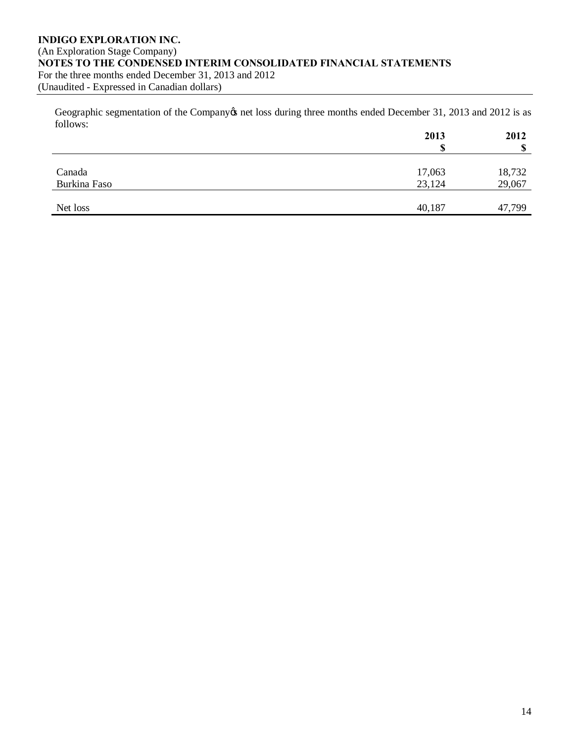#### **INDIGO EXPLORATION INC.** (An Exploration Stage Company) **NOTES TO THE CONDENSED INTERIM CONSOLIDATED FINANCIAL STATEMENTS** For the three months ended December 31, 2013 and 2012 (Unaudited - Expressed in Canadian dollars)

Geographic segmentation of the Company tnet loss during three months ended December 31, 2013 and 2012 is as follows:

|              | 2013   | 2012   |
|--------------|--------|--------|
|              | ۱D     | \$     |
|              |        |        |
| Canada       | 17,063 | 18,732 |
| Burkina Faso | 23,124 | 29,067 |
|              |        |        |
| Net loss     | 40,187 | 47,799 |